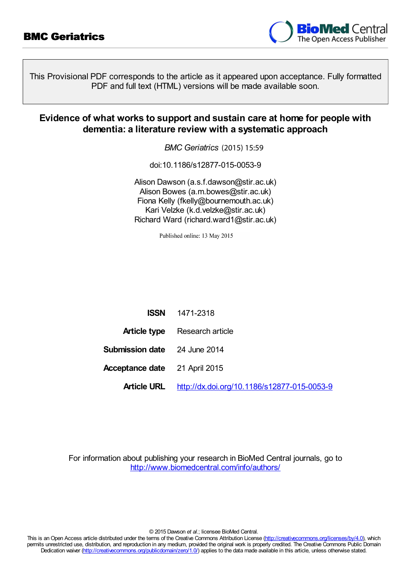

This Provisional PDF corresponds to the article as it appeared upon acceptance. Fully formatted PDF and full text (HTML) versions will be made available soon.

## **Evidence of what works to support and sustain care at home for people with dementia: a literature review with a systematic approach**

**BMC Geriatrics (2015) 15:59** 

doi:10.1186/s12877-015-0053-9

Alison Dawson (a.s.f.dawson@stir.ac.uk) Alison Bowes (a.m.bowes@stir.ac.uk) Fiona Kelly (fkelly@bournemouth.ac.uk) Kari Velzke (k.d.velzke@stir.ac.uk) Richard Ward (richard.ward1@stir.ac.uk)

Published online: 13 May 2015

|                                      | $ISSN$ $1471-2318$                          |
|--------------------------------------|---------------------------------------------|
|                                      | <b>Article type</b> Research article        |
| <b>Submission date</b> 24 June 2014  |                                             |
| <b>Acceptance date</b> 21 April 2015 |                                             |
| <b>Article URL</b>                   | http://dx.doi.org/10.1186/s12877-015-0053-9 |

For information about publishing your research in BioMed Central journals, go to <http://www.biomedcentral.com/info/authors/>

© 2015 Dawson *et al.*; licensee BioMed Central.

This is an Open Access article distributed under the terms of the Creative Commons Attribution License [\(http://creativecommons.org/licenses/by/4.0](http://creativecommons.org/licenses/by/4.0)), which permits unrestricted use, distribution, and reproduction in any medium, provided the original work is properly credited. The Creative Commons Public Domain Dedication waiver [\(http://creativecommons.org/publicdomain/zero/1.0/](http://creativecommons.org/publicdomain/zero/1.0/)) applies to the data made available in this article, unless otherwise stated.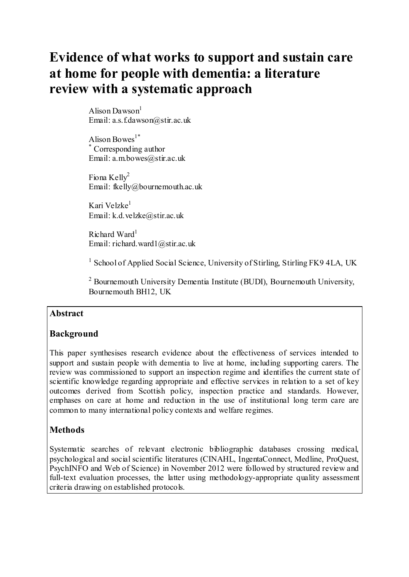# **Evidence of what works to support and sustain care at home for people with dementia: a literature review with a systematic approach**

Alison Dawson $<sup>1</sup>$ </sup> Email: a.s.f.dawson@stir.ac.uk

Alison Bowes<sup>1\*</sup> Corresponding author Email: a.m.bowes@stir.ac.uk

Fiona Kell $v^2$ Email: fkelly@bournemouth.ac.uk

Kari Velzke<sup>1</sup> Email: k.d.velzke@stir.ac.uk

Richard Ward $<sup>1</sup>$ </sup> Email: richard.ward1@stir.ac.uk

<sup>1</sup> School of Applied Social Science, University of Stirling, Stirling FK9 4LA, UK

 $2$  Bournemouth University Dementia Institute (BUDI), Bournemouth University, Bournemouth BH12, UK

## **Abstract**

## **Background**

This paper synthesises research evidence about the effectiveness of services intended to support and sustain people with dementia to live at home, including supporting carers. The review was commissioned to support an inspection regime and identifies the current state of scientific knowledge regarding appropriate and effective services in relation to a set of key outcomes derived from Scottish policy, inspection practice and standards. However, emphases on care at home and reduction in the use of institutional long term care are common to many international policy contexts and welfare regimes.

## **Methods**

Systematic searches of relevant electronic bibliographic databases crossing medical, psychological and social scientific literatures (CINAHL, IngentaConnect, Medline, ProQuest, PsychINFO and Web of Science) in November 2012 were followed by structured review and full-text evaluation processes, the latter using methodology-appropriate quality assessment criteria drawing on established protocols.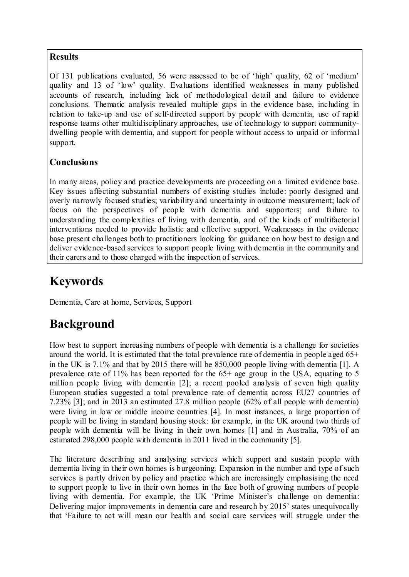## **Results**

Of 131 publications evaluated, 56 were assessed to be of 'high' quality, 62 of 'medium' quality and 13 of 'low' quality. Evaluations identified weaknesses in many published accounts of research, including lack of methodological detail and failure to evidence conclusions. Thematic analysis revealed multiple gaps in the evidence base, including in relation to take-up and use of self-directed support by people with dementia, use of rapid response teams other multidisciplinary approaches, use of technology to support communitydwelling people with dementia, and support for people without access to unpaid or informal support.

## **Conclusions**

In many areas, policy and practice developments are proceeding on a limited evidence base. Key issues affecting substantial numbers of existing studies include: poorly designed and overly narrowly focused studies; variability and uncertainty in outcome measurement; lack of focus on the perspectives of people with dementia and supporters; and failure to understanding the complexities of living with dementia, and of the kinds of multifactorial interventions needed to provide holistic and effective support. Weaknesses in the evidence base present challenges both to practitioners looking for guidance on how best to design and deliver evidence-based services to support people living with dementia in the community and their carers and to those charged with the inspection of services.

## **Keywords**

Dementia, Care at home, Services, Support

## **Background**

How best to support increasing numbers of people with dementia is a challenge for societies around the world. It is estimated that the total prevalence rate of dementia in people aged 65+ in the UK is 7.1% and that by 2015 there will be 850,000 people living with dementia [1]. A prevalence rate of 11% has been reported for the 65+ age group in the USA, equating to 5 million people living with dementia [2]; a recent pooled analysis of seven high quality European studies suggested a total prevalence rate of dementia across EU27 countries of 7.23% [3]; and in 2013 an estimated 27.8 million people (62% of all people with dementia) were living in low or middle income countries [4]. In most instances, a large proportion of people will be living in standard housing stock: for example, in the UK around two thirds of people with dementia will be living in their own homes [1] and in Australia, 70% of an estimated 298,000 people with dementia in 2011 lived in the community [5].

The literature describing and analysing services which support and sustain people with dementia living in their own homes is burgeoning. Expansion in the number and type of such services is partly driven by policy and practice which are increasingly emphasising the need to support people to live in their own homes in the face both of growing numbers of people living with dementia. For example, the UK 'Prime Minister's challenge on dementia: Delivering major improvements in dementia care and research by 2015' states unequivocally that 'Failure to act will mean our health and social care services will struggle under the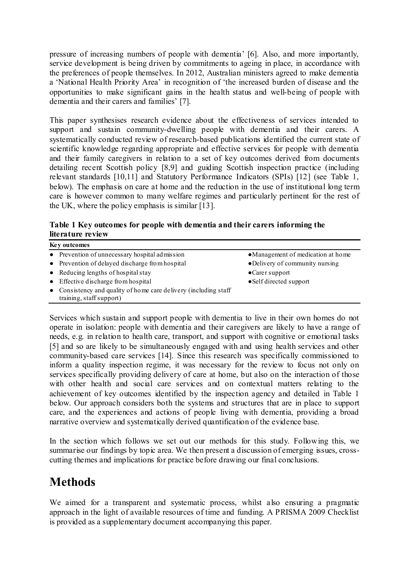pressure of increasing numbers of people with dementia' [6]. Also, and more importantly, service development is being driven by commitments to ageing in place, in accordance with the preferences of people themselves. In 2012, Australian ministers agreed to make dementia a 'National Health Priority Area' in recognition of 'the increased burden of disease and the opportunities to make significant gains in the health status and well-being of people with dementia and their carers and families' [7].

This paper synthesises research evidence about the effectiveness of services intended to support and sustain community-dwelling people with dementia and their carers. A systematically conducted review of research-based publications identified the current state of scientific knowledge regarding appropriate and effective services for people with dementia and their family caregivers in relation to a set of key outcomes derived from documents detailing recent Scottish policy [8,9] and guiding Scottish inspection practice (including relevant standards [10,11] and Statutory Performance Indicators (SPIs) [12] (see Table 1, below). The emphasis on care at home and the reduction in the use of institutional long term care is however common to many welfare regimes and particularly pertinent for the rest of the UK, where the policy emphasis is similar [13].

**Table 1 Key outcomes for people with dementia and their carers informing the literature review**

| Key outcomes                                                                                 |                                    |  |  |  |
|----------------------------------------------------------------------------------------------|------------------------------------|--|--|--|
| • Prevention of unnecessary hospital admission                                               | • Management of medication at home |  |  |  |
| • Prevention of delayed discharge from hospital                                              | • Delivery of community nursing    |  |  |  |
| • Reducing lengths of hospital stay                                                          | $\bullet$ Carer support            |  |  |  |
| • Effective discharge from hospital                                                          | • Self directed support            |  |  |  |
| • Consistency and quality of home care delivery (including staff<br>training, staff support) |                                    |  |  |  |

Services which sustain and support people with dementia to live in their own homes do not operate in isolation: people with dementia and their caregivers are likely to have a range of needs, e.g. in relation to health care, transport, and support with cognitive or emotional tasks [5] and so are likely to be simultaneously engaged with and using health services and other community-based care services [14]. Since this research was specifically commissioned to inform a quality inspection regime, it was necessary for the review to focus not only on services specifically providing delivery of care at home, but also on the interaction of those with other health and social care services and on contextual matters relating to the achievement of key outcomes identified by the inspection agency and detailed in Table 1 below. Our approach considers both the systems and structures that are in place to support care, and the experiences and actions of people living with dementia, providing a broad narrative overview and systematically derived quantification of the evidence base.

In the section which follows we set out our methods for this study. Following this, we summarise our findings by topic area. We then present a discussion of emerging issues, crosscutting themes and implications for practice before drawing our final conclusions.

## **Methods**

We aimed for a transparent and systematic process, whilst also ensuring a pragmatic approach in the light of available resources of time and funding. A PRISMA 2009 Checklist is provided as a supplementary document accompanying this paper.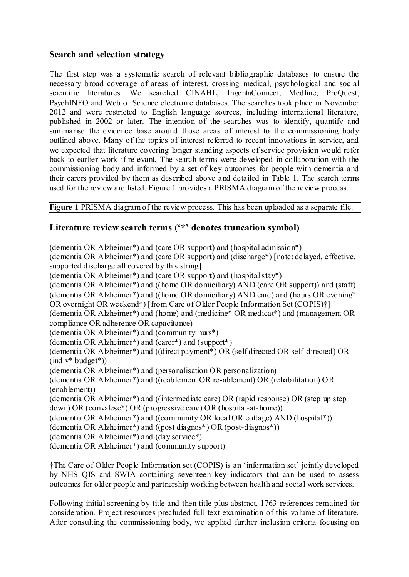### **Search and selection strategy**

The first step was a systematic search of relevant bibliographic databases to ensure the necessary broad coverage of areas of interest, crossing medical, psychological and social scientific literatures. We searched CINAHL, IngentaConnect, Medline, ProQuest, PsychINFO and Web of Science electronic databases. The searches took place in November 2012 and were restricted to English language sources, including international literature, published in 2002 or later. The intention of the searches was to identify, quantify and summarise the evidence base around those areas of interest to the commissioning body outlined above. Many of the topics of interest referred to recent innovations in service, and we expected that literature covering longer standing aspects of service provision would refer back to earlier work if relevant. The search terms were developed in collaboration with the commissioning body and informed by a set of key outcomes for people with dementia and their carers provided by them as described above and detailed in Table 1. The search terms used for the review are listed. Figure 1 provides a PRISMA diagram of the review process.

**Figure 1** PRISMA diagram of the review process. This has been uploaded as a separate file.

## **Literature review search terms ('\*' denotes truncation symbol)**

(dementia OR Alzheimer\*) and (care OR support) and (hospital admission\*) (dementia OR Alzheimer\*) and (care OR support) and (discharge\*) [note: delayed, effective, supported discharge all covered by this string] (dementia OR Alzheimer\*) and (care OR support) and (hospital stay\*) (dementia OR Alzheimer\*) and ((home OR domiciliary) AND (care OR support)) and (staff) (dementia OR Alzheimer\*) and ((home OR domiciliary) AND care) and (hours OR evening\* OR overnight OR weekend\*) [from Care of Older People Information Set (COPIS)†] (dementia OR Alzheimer\*) and (home) and (medicine\* OR medicat\*) and (management OR compliance OR adherence OR capacitance) (dementia OR Alzheimer\*) and (community nurs\*) (dementia OR Alzheimer\*) and (carer\*) and (support\*) (dementia OR Alzheimer\*) and ((direct payment\*) OR (self directed OR self-directed) OR (indiv\* budget\*)) (dementia OR Alzheimer\*) and (personalisation OR personalization) (dementia OR Alzheimer\*) and ((reablement OR re-ablement) OR (rehabilitation) OR (enablement)) (dementia OR Alzheimer\*) and ((intermediate care) OR (rapid response) OR (step up step down) OR (convalesc\*) OR (progressive care) OR (hospital-at-home)) (dementia OR Alzheimer\*) and ((community OR local OR cottage) AND (hospital\*)) (dementia OR Alzheimer\*) and ((post diagnos\*) OR (post-diagnos\*)) (dementia OR Alzheimer\*) and (day service\*) (dementia OR Alzheimer\*) and (community support)

†The Care of Older People Information set (COPIS) is an 'information set' jointly developed by NHS QIS and SWIA containing seventeen key indicators that can be used to assess outcomes for older people and partnership working between health and social work services.

Following initial screening by title and then title plus abstract, 1763 references remained for consideration. Project resources precluded full text examination of this volume of literature. After consulting the commissioning body, we applied further inclusion criteria focusing on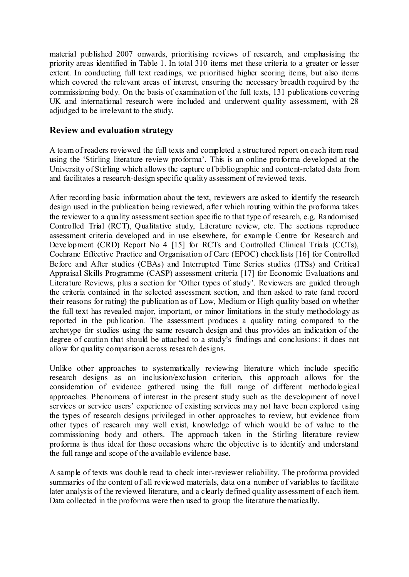material published 2007 onwards, prioritising reviews of research, and emphasising the priority areas identified in Table 1. In total 310 items met these criteria to a greater or lesser extent. In conducting full text readings, we prioritised higher scoring items, but also items which covered the relevant areas of interest, ensuring the necessary breadth required by the commissioning body. On the basis of examination of the full texts, 131 publications covering UK and international research were included and underwent quality assessment, with 28 adjudged to be irrelevant to the study.

#### **Review and evaluation strategy**

A team of readers reviewed the full texts and completed a structured report on each item read using the 'Stirling literature review proforma'. This is an online proforma developed at the University of Stirling which allows the capture of bibliographic and content-related data from and facilitates a research-design specific quality assessment of reviewed texts.

After recording basic information about the text, reviewers are asked to identify the research design used in the publication being reviewed, after which routing within the proforma takes the reviewer to a quality assessment section specific to that type of research, e.g. Randomised Controlled Trial (RCT), Qualitative study, Literature review, etc. The sections reproduce assessment criteria developed and in use elsewhere, for example Centre for Research and Development (CRD) Report No 4 [15] for RCTs and Controlled Clinical Trials (CCTs), Cochrane Effective Practice and Organisation of Care (EPOC) check lists [16] for Controlled Before and After studies (CBAs) and Interrupted Time Series studies (ITSs) and Critical Appraisal Skills Programme (CASP) assessment criteria [17] for Economic Evaluations and Literature Reviews, plus a section for 'Other types of study'. Reviewers are guided through the criteria contained in the selected assessment section, and then asked to rate (and record their reasons for rating) the publication as of Low, Medium or High quality based on whether the full text has revealed major, important, or minor limitations in the study methodology as reported in the publication. The assessment produces a quality rating compared to the archetype for studies using the same research design and thus provides an indication of the degree of caution that should be attached to a study's findings and conclusions: it does not allow for quality comparison across research designs.

Unlike other approaches to systematically reviewing literature which include specific research designs as an inclusion/exclusion criterion, this approach allows for the consideration of evidence gathered using the full range of different methodological approaches. Phenomena of interest in the present study such as the development of novel services or service users' experience of existing services may not have been explored using the types of research designs privileged in other approaches to review, but evidence from other types of research may well exist, knowledge of which would be of value to the commissioning body and others. The approach taken in the Stirling literature review proforma is thus ideal for those occasions where the objective is to identify and understand the full range and scope of the available evidence base.

A sample of texts was double read to check inter-reviewer reliability. The proforma provided summaries of the content of all reviewed materials, data on a number of variables to facilitate later analysis of the reviewed literature, and a clearly defined quality assessment of each item. Data collected in the proforma were then used to group the literature thematically.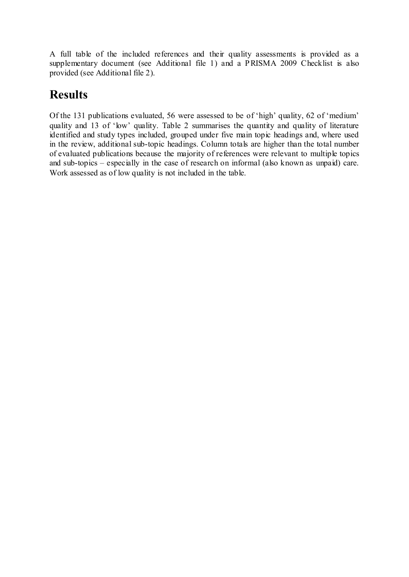A full table of the included references and their quality assessments is provided as a supplementary document (see Additional file 1) and a PRISMA 2009 Checklist is also provided (see Additional file 2).

## **Results**

Of the 131 publications evaluated, 56 were assessed to be of 'high' quality, 62 of 'medium' quality and 13 of 'low' quality. Table 2 summarises the quantity and quality of literature identified and study types included, grouped under five main topic headings and, where used in the review, additional sub-topic headings. Column totals are higher than the total number of evaluated publications because the majority of references were relevant to multiple topics and sub-topics – especially in the case of research on informal (also known as unpaid) care. Work assessed as of low quality is not included in the table.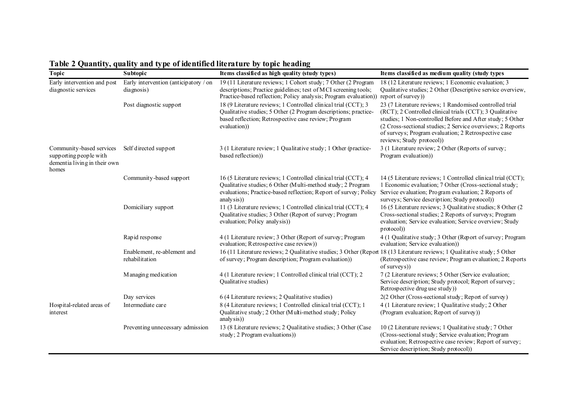| <b>Topic</b>                                                                                | Subtopic                                            | Items classified as high quality (study types)                                                                                                                                                                 | Items classified as medium quality (study types                                                                                                                                                                                                                                                                                     |
|---------------------------------------------------------------------------------------------|-----------------------------------------------------|----------------------------------------------------------------------------------------------------------------------------------------------------------------------------------------------------------------|-------------------------------------------------------------------------------------------------------------------------------------------------------------------------------------------------------------------------------------------------------------------------------------------------------------------------------------|
| Early intervention and post<br>diagnostic services                                          | Early intervention (anticipatory / on<br>diagnosis) | 19 (11 Literature reviews; 1 Cohort study; 7 Other (2 Program<br>descriptions; Practice guidelines; test of MCI screening tools;<br>Practice-based reflection; Policy analysis; Program evaluation))           | 18 (12 Literature reviews; 1 Economic evaluation; 3<br>Qualitative studies; 2 Other (Descriptive service overview,<br>report of survey))                                                                                                                                                                                            |
|                                                                                             | Post diagnostic support                             | 18 (9 Literature reviews; 1 Controlled clinical trial (CCT); 3<br>Qualitative studies; 5 Other (2 Program descriptions; practice-<br>based reflection; Retrospective case review; Program<br>evaluation)       | 23 (7 Literature reviews; 1 Randomised controlled trial<br>(RCT); 2 Controlled clinical trials (CCT); 3 Qualitative<br>studies; 1 Non-controlled Before and After study; 5 Other<br>(2 Cross-sectional studies; 2 Service overviews; 2 Reports<br>of surveys; Program evaluation; 2 Retrospective case<br>reviews; Study protocol)) |
| Community-based services<br>supporting people with<br>dementia living in their own<br>homes | Self directed support                               | 3 (1 Literature review; 1 Qualitative study; 1 Other (practice-<br>based reflection))                                                                                                                          | 3 (1 Literature review; 2 Other (Reports of survey;<br>Program evaluation))                                                                                                                                                                                                                                                         |
|                                                                                             | Community-based support                             | 16 (5 Literature reviews; 1 Controlled clinical trial (CCT); 4<br>Qualitative studies; 6 Other (Multi-method study; 2 Program<br>evaluations; Practice-based reflection; Report of survey; Policy<br>analysis) | 14 (5 Literature reviews; 1 Controlled clinical trial (CCT);<br>1 Economic evaluation; 7 Other (Cross-sectional study;<br>Service evaluation; Program evaluation; 2 Reports of<br>surveys; Service description; Study protocol))                                                                                                    |
|                                                                                             | Domiciliary support                                 | 11 (3 Literature reviews; 1 Controlled clinical trial (CCT); 4<br>Qualitative studies; 3 Other (Report of survey; Program<br>evaluation; Policy analysis))                                                     | 16 (5 Literature reviews; 3 Qualitative studies; 8 Other (2<br>Cross-sectional studies; 2 Reports of surveys; Program<br>evaluation; Service evaluation; Service overview; Study<br>protocol)                                                                                                                                       |
|                                                                                             | Rapid response                                      | 4 (1 Literature review; 3 Other (Report of survey; Program<br>evaluation; Retrospective case review))                                                                                                          | 4 (1 Qualitative study; 3 Other (Report of survey; Program<br>evaluation; Service evaluation))                                                                                                                                                                                                                                      |
|                                                                                             | Enablement, re-ablement and<br>rehabilitation       | 16 (11 Literature reviews; 2 Qualitative studies; 3 Other (Report 18 (13 Literature reviews; 1 Qualitative study; 5 Other<br>of survey; Program description; Program evaluation))                              | (Retrospective case review; Program evaluation; 2 Reports<br>of surveys))                                                                                                                                                                                                                                                           |
|                                                                                             | M anaging medication                                | 4 (1 Literature review; 1 Controlled clinical trial (CCT); 2<br>Qualitative studies)                                                                                                                           | 7 (2 Literature reviews; 5 Other (Service evaluation;<br>Service description; Study protocol; Report of survey;<br>Retrospective drug use study)                                                                                                                                                                                    |
|                                                                                             | Day services                                        | 6 (4 Literature reviews; 2 Qualitative studies)                                                                                                                                                                | 2(2 Other (Cross-sectional study; Report of survey)                                                                                                                                                                                                                                                                                 |
| Hospital-related areas of<br>interest                                                       | Intermediate care                                   | 8 (4 Literature reviews; 1 Controlled clinical trial (CCT); 1<br>Qualitative study; 2 Other (Multi-method study; Policy<br>analysis))                                                                          | 4 (1 Literature review; 1 Qualitative study; 2 Other<br>(Program evaluation; Report of survey))                                                                                                                                                                                                                                     |
|                                                                                             | Preventing unnecessary admission                    | 13 (8 Literature reviews; 2 Qualitative studies; 3 Other (Case<br>study; 2 Program evaluations))                                                                                                               | 10 (2 Literature reviews; 1 Qualitative study; 7 Other<br>(Cross-sectional study; Service evaluation; Program<br>evaluation; Retrospective case review; Report of survey;<br>Service description; Study protocol))                                                                                                                  |

## **Table 2 Quantity, quality and type of identified literature by topic heading**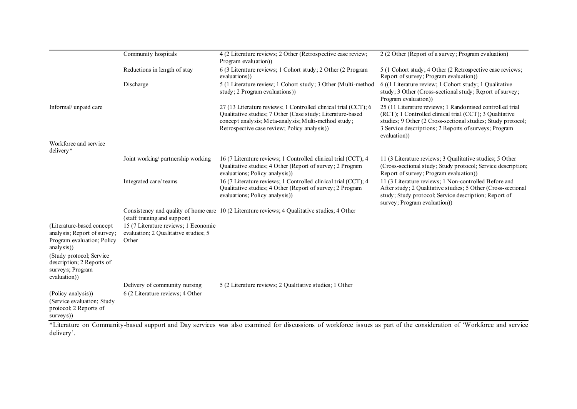|                                                                                                     | Community hospitals                                                                   | 4 (2 Literature reviews; 2 Other (Retrospective case review;<br>Program evaluation))                                                                                                                                                  | 2 (2 Other (Report of a survey; Program evaluation)                                                                                                                                                                                                          |
|-----------------------------------------------------------------------------------------------------|---------------------------------------------------------------------------------------|---------------------------------------------------------------------------------------------------------------------------------------------------------------------------------------------------------------------------------------|--------------------------------------------------------------------------------------------------------------------------------------------------------------------------------------------------------------------------------------------------------------|
|                                                                                                     | Reductions in length of stay                                                          | 6 (3 Literature reviews; 1 Cohort study; 2 Other (2 Program<br>evaluations))                                                                                                                                                          | 5 (1 Cohort study; 4 Other (2 Retrospective case reviews;<br>Report of survey; Program evaluation))                                                                                                                                                          |
|                                                                                                     | Discharge                                                                             | 5 (1 Literature review; 1 Cohort study; 3 Other (Multi-method<br>study; 2 Program evaluations))                                                                                                                                       | 6 ((1 Literature review; 1 Cohort study; 1 Qualitative<br>study; 3 Other (Cross-sectional study; Report of survey;<br>Program evaluation))                                                                                                                   |
| Informal/ unpaid care                                                                               |                                                                                       | 27 (13 Literature reviews; 1 Controlled clinical trial (CCT); 6<br>Qualitative studies; 7 Other (Case study; Literature-based<br>concept analysis; Meta-analysis; Multi-method study;<br>Retrospective case review; Policy analysis)) | 25 (11 Literature reviews; 1 Randomised controlled trial<br>(RCT); 1 Controlled clinical trial (CCT); 3 Qualitative<br>studies; 9 Other (2 Cross-sectional studies; Study protocol;<br>3 Service descriptions; 2 Reports of surveys; Program<br>evaluation)) |
| Workforce and service<br>delivery*                                                                  |                                                                                       |                                                                                                                                                                                                                                       |                                                                                                                                                                                                                                                              |
|                                                                                                     | Joint working partnership working                                                     | 16 (7 Literature reviews; 1 Controlled clinical trial (CCT); 4<br>Qualitative studies; 4 Other (Report of survey; 2 Program<br>evaluations; Policy analysis))                                                                         | 11 (3 Literature reviews; 3 Qualitative studies; 5 Other<br>(Cross-sectional study; Study protocol; Service description;<br>Report of survey; Program evaluation))                                                                                           |
|                                                                                                     | Integrated care/teams                                                                 | 16 (7 Literature reviews; 1 Controlled clinical trial (CCT); 4<br>Qualitative studies; 4 Other (Report of survey; 2 Program<br>evaluations; Policy analysis))                                                                         | 11 (3 Literature reviews; 1 Non-controlled Before and<br>After study; 2 Qualitative studies; 5 Other (Cross-sectional<br>study; Study protocol; Service description; Report of<br>survey; Program evaluation))                                               |
|                                                                                                     | (staff training and support)                                                          | Consistency and quality of home care 10 (2 Literature reviews; 4 Qualitative studies; 4 Other                                                                                                                                         |                                                                                                                                                                                                                                                              |
| (Literature-based concept<br>analysis; Report of survey;<br>Program evaluation; Policy<br>analysis) | 15 (7 Literature reviews; 1 Economic<br>evaluation; 2 Qualitative studies; 5<br>Other |                                                                                                                                                                                                                                       |                                                                                                                                                                                                                                                              |
| (Study protocol; Service<br>description; 2 Reports of<br>surveys; Program<br>evaluation)            |                                                                                       |                                                                                                                                                                                                                                       |                                                                                                                                                                                                                                                              |
|                                                                                                     | Delivery of community nursing                                                         | 5 (2 Literature reviews; 2 Qualitative studies; 1 Other                                                                                                                                                                               |                                                                                                                                                                                                                                                              |
| (Policy analysis))<br>(Service evaluation; Study)<br>protocol; 2 Reports of<br>surveys))            | 6 (2 Literature reviews; 4 Other                                                      |                                                                                                                                                                                                                                       |                                                                                                                                                                                                                                                              |

\*Literature on Community-based support and Day services was also examined for discussions of workforce issues as part of the consideration of 'Workforce and service delivery'.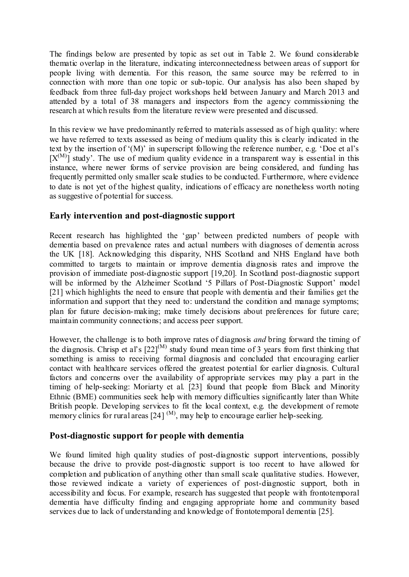The findings below are presented by topic as set out in Table 2. We found considerable thematic overlap in the literature, indicating interconnectedness between areas of support for people living with dementia. For this reason, the same source may be referred to in connection with more than one topic or sub-topic. Our analysis has also been shaped by feedback from three full-day project workshops held between January and March 2013 and attended by a total of 38 managers and inspectors from the agency commissioning the research at which results from the literature review were presented and discussed.

In this review we have predominantly referred to materials assessed as of high quality: where we have referred to texts assessed as being of medium quality this is clearly indicated in the text by the insertion of '(M)' in superscript following the reference number, e.g. 'Doe et al's  $[X^{(M)}]$  study'. The use of medium quality evidence in a transparent way is essential in this instance, where newer forms of service provision are being considered, and funding has frequently permitted only smaller scale studies to be conducted. Furthermore, where evidence to date is not yet of the highest quality, indications of efficacy are nonetheless worth noting as suggestive of potential for success.

## **Early intervention and post-diagnostic support**

Recent research has highlighted the 'gap' between predicted numbers of people with dementia based on prevalence rates and actual numbers with diagnoses of dementia across the UK [18]. Acknowledging this disparity, NHS Scotland and NHS England have both committed to targets to maintain or improve dementia diagnosis rates and improve the provision of immediate post-diagnostic support [19,20]. In Scotland post-diagnostic support will be informed by the Alzheimer Scotland '5 Pillars of Post-Diagnostic Support' model [21] which highlights the need to ensure that people with dementia and their families get the information and support that they need to: understand the condition and manage symptoms; plan for future decision-making; make timely decisions about preferences for future care; maintain community connections; and access peer support.

However, the challenge is to both improve rates of diagnosis *and* bring forward the timing of the diagnosis. Chrisp et al's  $[22]^{(M)}$  study found mean time of 3 years from first thinking that something is amiss to receiving formal diagnosis and concluded that encouraging earlier contact with healthcare services offered the greatest potential for earlier diagnosis. Cultural factors and concerns over the availability of appropriate services may play a part in the timing of help-seeking: Moriarty et al. [23] found that people from Black and Minority Ethnic (BME) communities seek help with memory difficulties significantly later than White British people. Developing services to fit the local context, e.g. the development of remote memory clinics for rural areas  $[24]^{(M)}$ , may help to encourage earlier help-seeking.

#### **Post-diagnostic support for people with dementia**

We found limited high quality studies of post-diagnostic support interventions, possibly because the drive to provide post-diagnostic support is too recent to have allowed for completion and publication of anything other than small scale qualitative studies. However, those reviewed indicate a variety of experiences of post-diagnostic support, both in accessibility and focus. For example, research has suggested that people with frontotemporal dementia have difficulty finding and engaging appropriate home and community based services due to lack of understanding and knowledge of frontotemporal dementia [25].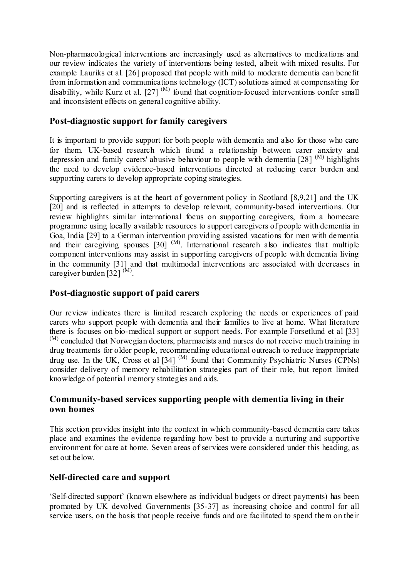Non-pharmacological interventions are increasingly used as alternatives to medications and our review indicates the variety of interventions being tested, albeit with mixed results. For example Lauriks et al. [26] proposed that people with mild to moderate dementia can benefit from information and communications technology (ICT) solutions aimed at compensating for disability, while Kurz et al.  $[27]^{(M)}$  found that cognition-focused interventions confer small and inconsistent effects on general cognitive ability.

## **Post-diagnostic support for family caregivers**

It is important to provide support for both people with dementia and also for those who care for them. UK-based research which found a relationship between carer anxiety and depression and family carers' abusive behaviour to people with dementia [28] (M) highlights the need to develop evidence-based interventions directed at reducing carer burden and supporting carers to develop appropriate coping strategies.

Supporting caregivers is at the heart of government policy in Scotland [8,9,21] and the UK [20] and is reflected in attempts to develop relevant, community-based interventions. Our review highlights similar international focus on supporting caregivers, from a homecare programme using locally available resources to support caregivers of people with dementia in Goa, India [29] to a German intervention providing assisted vacations for men with dementia and their caregiving spouses [30] <sup>(M)</sup>. International research also indicates that multiple component interventions may assist in supporting caregivers of people with dementia living in the community [31] and that multimodal interventions are associated with decreases in caregiver burden  $[32]^{(\mathrm{M})}$ .

## **Post-diagnostic support of paid carers**

Our review indicates there is limited research exploring the needs or experiences of paid carers who support people with dementia and their families to live at home. What literature there is focuses on bio-medical support or support needs. For example Forsetlund et al [33]  $(M)$  concluded that Norwegian doctors, pharmacists and nurses do not receive much training in drug treatments for older people, recommending educational outreach to reduce inappropriate drug use. In the UK, Cross et al [34]  $^{(M)}$  found that Community Psychiatric Nurses (CPNs) consider delivery of memory rehabilitation strategies part of their role, but report limited knowledge of potential memory strategies and aids.

## **Community-based services supporting people with dementia living in their own homes**

This section provides insight into the context in which community-based dementia care takes place and examines the evidence regarding how best to provide a nurturing and supportive environment for care at home. Seven areas of services were considered under this heading, as set out below.

## **Self-directed care and support**

'Self-directed support' (known elsewhere as individual budgets or direct payments) has been promoted by UK devolved Governments [35-37] as increasing choice and control for all service users, on the basis that people receive funds and are facilitated to spend them on their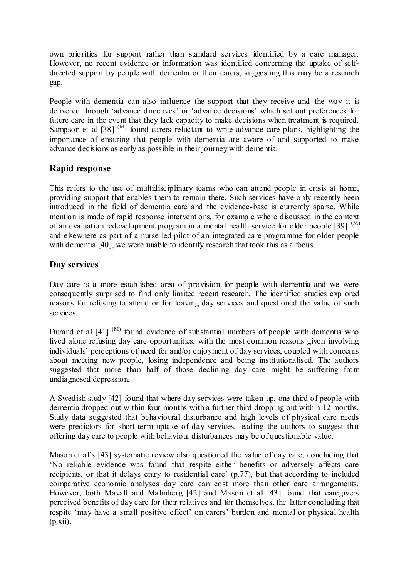own priorities for support rather than standard services identified by a care manager. However, no recent evidence or information was identified concerning the uptake of selfdirected support by people with dementia or their carers, suggesting this may be a research gap.

People with dementia can also influence the support that they receive and the way it is delivered through 'advance directives' or 'advance decisions' which set out preferences for future care in the event that they lack capacity to make decisions when treatment is required. Sampson et al  $[38]$ <sup>(M)</sup> found carers reluctant to write advance care plans, highlighting the importance of ensuring that people with dementia are aware of and supported to make advance decisions as early as possible in their journey with dementia.

## **Rapid response**

This refers to the use of multidisciplinary teams who can attend people in crisis at home, providing support that enables them to remain there. Such services have only recently been introduced in the field of dementia care and the evidence-base is currently sparse. While mention is made of rapid response interventions, for example where discussed in the context of an evaluation redevelopment program in a mental health service for older people [39] <sup>(M)</sup> and elsewhere as part of a nurse led pilot of an integrated care programme for older people with dementia [40], we were unable to identify research that took this as a focus.

## **Day services**

Day care is a more established area of provision for people with dementia and we were consequently surprised to find only limited recent research. The identified studies exp lored reasons for refusing to attend or for leaving day services and questioned the value of such services.

Durand et al  $[41]^{(M)}$  found evidence of substantial numbers of people with dementia who lived alone refusing day care opportunities, with the most common reasons given involving individuals' perceptions of need for and/or enjoyment of day services, coupled with concerns about meeting new people, losing independence and being institutionalised. The authors suggested that more than half of those declining day care might be suffering from undiagnosed depression.

A Swedish study [42] found that where day services were taken up, one third of people with dementia dropped out within four months with a further third dropping out within 12 months. Study data suggested that behavioural disturbance and high levels of physical care needs were predictors for short-term uptake of day services, leading the authors to suggest that offering day care to people with behaviour disturbances may be of questionable value.

Mason et al's [43] systematic review also questioned the value of day care, concluding that 'No reliable evidence was found that respite either benefits or adversely affects care recipients, or that it delays entry to residential care' (p.77), but that accord ing to included comparative economic analyses day care can cost more than other care arrangements. However, both Mavall and Malmberg [42] and Mason et al [43] found that caregivers perceived benefits of day care for their relatives and for themselves, the latter concluding that respite 'may have a small positive effect' on carers' burden and mental or physical health (p.xii).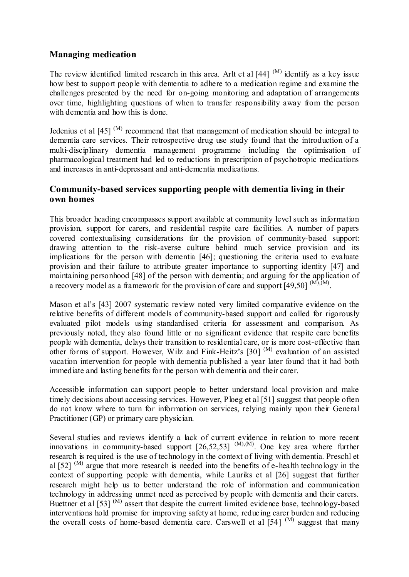## **Managing medication**

The review identified limited research in this area. Arlt et al  $[44]^{(M)}$  identify as a key issue how best to support people with dementia to adhere to a medication regime and examine the challenges presented by the need for on-going monitoring and adaptation of arrangements over time, highlighting questions of when to transfer responsibility away from the person with dementia and how this is done.

Jedenius et al  $[45]^{(M)}$  recommend that that management of medication should be integral to dementia care services. Their retrospective drug use study found that the introduction of a multi-disciplinary dementia management programme including the optimisation of pharmacological treatment had led to reductions in prescription of psychotropic medications and increases in anti-depressant and anti-dementia medications.

## **Community-based services supporting people with dementia living in their own homes**

This broader heading encompasses support available at community level such as information provision, support for carers, and residential respite care facilities. A number of papers covered contextualising considerations for the provision of community-based support: drawing attention to the risk-averse culture behind much service provision and its implications for the person with dementia [46]; questioning the criteria used to evaluate provision and their failure to attribute greater importance to supporting identity [47] and maintaining personhood [48] of the person with dementia; and arguing for the application of a recovery model as a framework for the provision of care and support [49,50]  $^{(M), (M)}$ .

Mason et al's [43] 2007 systematic review noted very limited comparative evidence on the relative benefits of different models of community-based support and called for rigorously evaluated pilot models using standardised criteria for assessment and comparison. As previously noted, they also found little or no significant evidence that respite care benefits people with dementia, delays their transition to residential care, or is more cost-effective than other forms of support. However, Wilz and Fink-Heitz's [30] (M) evaluation of an assisted vacation intervention for people with dementia published a year later found that it had both immediate and lasting benefits for the person with dementia and their carer.

Accessible information can support people to better understand local provision and make timely decisions about accessing services. However, Ploeg et al [51] suggest that people often do not know where to turn for information on services, relying mainly upon their General Practitioner (GP) or primary care physician.

Several studies and reviews identify a lack of current evidence in relation to more recent innovations in community-based support  $[26,52,53]^{(M),(M)}$ . One key area where further research is required is the use of technology in the context of living with dementia. Preschl et al  $[52]^{(M)}$  argue that more research is needed into the benefits of e-health technology in the context of supporting people with dementia, while Lauriks et al [26] suggest that further research might help us to better understand the role of information and communication technology in addressing unmet need as perceived by people with dementia and their carers. Buettner et al [53]  $^{(M)}$  assert that despite the current limited evidence base, technology-based interventions hold promise for improving safety at home, reducing carer burden and reducing the overall costs of home-based dementia care. Carswell et al  $[54]^{(M)}$  suggest that many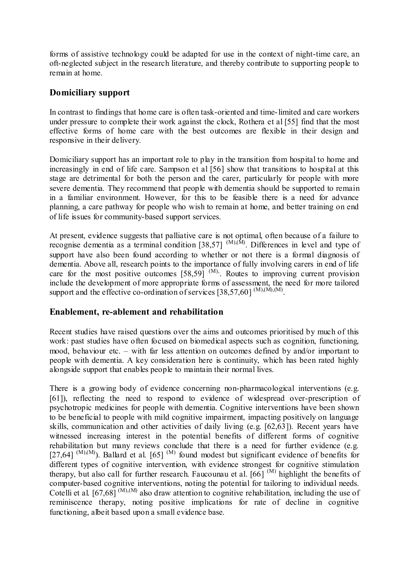forms of assistive technology could be adapted for use in the context of night-time care, an oft-neglected subject in the research literature, and thereby contribute to supporting people to remain at home.

## **Domiciliary support**

In contrast to findings that home care is often task-oriented and time-limited and care workers under pressure to complete their work against the clock, Rothera et al [55] find that the most effective forms of home care with the best outcomes are flexible in their design and responsive in their delivery.

Domiciliary support has an important role to play in the transition from hospital to home and increasingly in end of life care. Sampson et al [56] show that transitions to hospital at this stage are detrimental for both the person and the carer, particularly for people with more severe dementia. They recommend that people with dementia should be supported to remain in a familiar environment. However, for this to be feasible there is a need for advance planning, a care pathway for people who wish to remain at home, and better training on end of life issues for community-based support services.

At present, evidence suggests that palliative care is not optimal, often because of a failure to recognise dementia as a terminal condition  $[38,57]$  (M),(M). Differences in level and type of support have also been found according to whether or not there is a formal diagnosis of dementia. Above all, research points to the importance of fully involving carers in end of life care for the most positive outcomes  $[58,59]^{(M)}$ . Routes to improving current provision include the development of more appropriate forms of assessment, the need for more tailored support and the effective co-ordination of services  $[38,57,60]^{(M),(M),(M)}$ .

## **Enablement, re-ablement and rehabilitation**

Recent studies have raised questions over the aims and outcomes prioritised by much of this work: past studies have often focused on biomedical aspects such as cognition, functioning, mood, behaviour etc. – with far less attention on outcomes defined by and/or important to people with dementia. A key consideration here is continuity, which has been rated highly alongside support that enables people to maintain their normal lives.

There is a growing body of evidence concerning non-pharmacological interventions (e.g. [61]), reflecting the need to respond to evidence of widespread over-prescription of psychotropic medicines for people with dementia. Cognitive interventions have been shown to be beneficial to people with mild cognitive impairment, impacting positively on language skills, communication and other activities of daily living (e.g. [62,63]). Recent years have witnessed increasing interest in the potential benefits of different forms of cognitive rehabilitation but many reviews conclude that there is a need for further evidence (e.g.  $[27,64]^{(M),(M)}$ ). Ballard et al.  $[65]^{(M)}$  found modest but significant evidence of benefits for different types of cognitive intervention, with evidence strongest for cognitive stimulation therapy, but also call for further research. Faucounau et al.  $[66]^{(M)}$  highlight the benefits of computer-based cognitive interventions, noting the potential for tailoring to individual needs. Cotelli et al.  $[67,68]^{(M),(M)}$  also draw attention to cognitive rehabilitation, including the use of reminiscence therapy, noting positive implications for rate of decline in cognitive functioning, albeit based upon a small evidence base.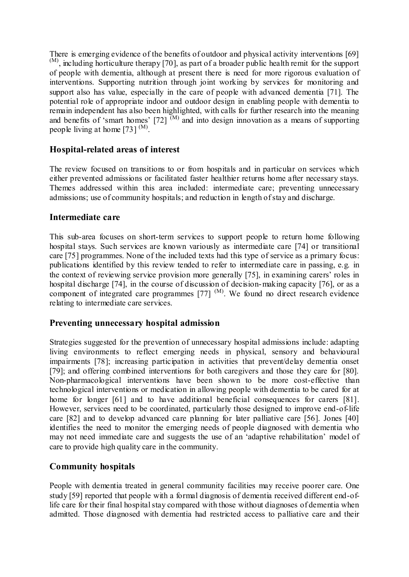There is emerging evidence of the benefits of outdoor and physical activity interventions [69]  $(M)$ , including horticulture therapy [70], as part of a broader public health remit for the support of people with dementia, although at present there is need for more rigorous evaluation of interventions. Supporting nutrition through joint working by services for monitoring and support also has value, especially in the care of people with advanced dementia [71]. The potential role of appropriate indoor and outdoor design in enabling people with dementia to remain independent has also been highlighted, with calls for further research into the meaning and benefits of 'smart homes'  $[72]$ <sup>(M)</sup> and into design innovation as a means of supporting people living at home  $[73]^{(M)}$ .

## **Hospital-related areas of interest**

The review focused on transitions to or from hospitals and in particular on services which either prevented admissions or facilitated faster healthier returns home after necessary stays. Themes addressed within this area included: intermediate care; preventing unnecessary admissions; use of community hospitals; and reduction in length of stay and discharge.

#### **Intermediate care**

This sub-area focuses on short-term services to support people to return home following hospital stays. Such services are known variously as intermediate care [74] or transitional care [75] programmes. None of the included texts had this type of service as a primary focus: publications identified by this review tended to refer to intermediate care in passing, e.g. in the context of reviewing service provision more generally [75], in examining carers' roles in hospital discharge [74], in the course of discussion of decision-making capacity [76], or as a component of integrated care programmes  $[77]$ <sup>(M)</sup>. We found no direct research evidence relating to intermediate care services.

#### **Preventing unnecessary hospital admission**

Strategies suggested for the prevention of unnecessary hospital admissions include: adapting living environments to reflect emerging needs in physical, sensory and behavioural impairments [78]; increasing participation in activities that prevent/delay dementia onset [79]; and offering combined interventions for both caregivers and those they care for [80]. Non-pharmacological interventions have been shown to be more cost-effective than technological interventions or medication in allowing people with dementia to be cared for at home for longer [61] and to have additional beneficial consequences for carers [81]. However, services need to be coordinated, particularly those designed to improve end-of-life care [82] and to develop advanced care planning for later palliative care [56]. Jones [40] identifies the need to monitor the emerging needs of people diagnosed with dementia who may not need immediate care and suggests the use of an 'adaptive rehabilitation' model of care to provide high quality care in the community.

#### **Community hospitals**

People with dementia treated in general community facilities may receive poorer care. One study [59] reported that people with a formal diagnosis of dementia received different end-oflife care for their final hospital stay compared with those without diagnoses of dementia when admitted. Those diagnosed with dementia had restricted access to palliative care and their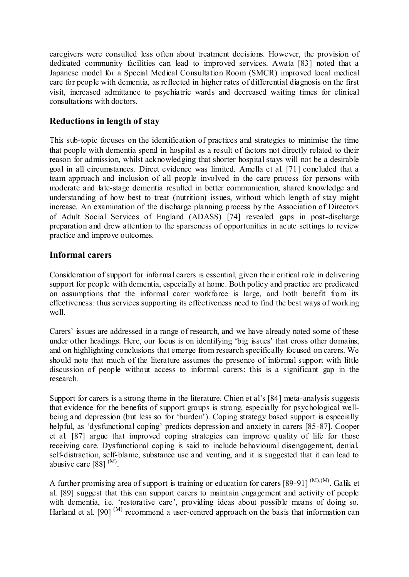caregivers were consulted less often about treatment decisions. However, the provision of dedicated community facilities can lead to improved services. Awata [83] noted that a Japanese model for a Special Medical Consultation Room (SMCR) improved local medical care for people with dementia, as reflected in higher rates of differential diagnosis on the first visit, increased admittance to psychiatric wards and decreased waiting times for clinical consultations with doctors.

## **Reductions in length of stay**

This sub-topic focuses on the identification of practices and strategies to minimise the time that people with dementia spend in hospital as a result of factors not directly related to their reason for admission, whilst acknowledging that shorter hospital stays will not be a desirable goal in all circumstances. Direct evidence was limited. Amella et al. [71] concluded that a team approach and inclusion of all people involved in the care process for persons with moderate and late-stage dementia resulted in better communication, shared knowledge and understanding of how best to treat (nutrition) issues, without which length of stay might increase. An examination of the discharge planning process by the Association of Directors of Adult Social Services of England (ADASS) [74] revealed gaps in post-discharge preparation and drew attention to the sparseness of opportunities in acute settings to review practice and improve outcomes.

## **Informal carers**

Consideration of support for informal carers is essential, given their critical role in delivering support for people with dementia, especially at home. Both policy and practice are predicated on assumptions that the informal carer workforce is large, and both benefit from its effectiveness: thus services supporting its effectiveness need to find the best ways of working well.

Carers' issues are addressed in a range of research, and we have already noted some of these under other headings. Here, our focus is on identifying 'big issues' that cross other domains, and on highlighting conclusions that emerge from research specifically focused on carers. We should note that much of the literature assumes the presence of informal support with little discussion of people without access to informal carers: this is a significant gap in the research.

Support for carers is a strong theme in the literature. Chien et al's [84] meta-analysis suggests that evidence for the benefits of support groups is strong, especially for psychological wellbeing and depression (but less so for 'burden'). Coping strategy based support is especially helpful, as 'dysfunctional coping' predicts depression and anxiety in carers [85-87]. Cooper et al. [87] argue that improved coping strategies can improve quality of life for those receiving care. Dysfunctional coping is said to include behavioural disengagement, denial, self-distraction, self-blame, substance use and venting, and it is suggested that it can lead to abusive care  $[88]^{(M)}$ .

A further promising area of support is training or education for carers [89-91]<sup>(M),(M)</sup>. Galik et al. [89] suggest that this can support carers to maintain engagement and activity of people with dementia, i.e. 'restorative care', providing ideas about possible means of doing so. Harland et al. [90]  $^{(M)}$  recommend a user-centred approach on the basis that information can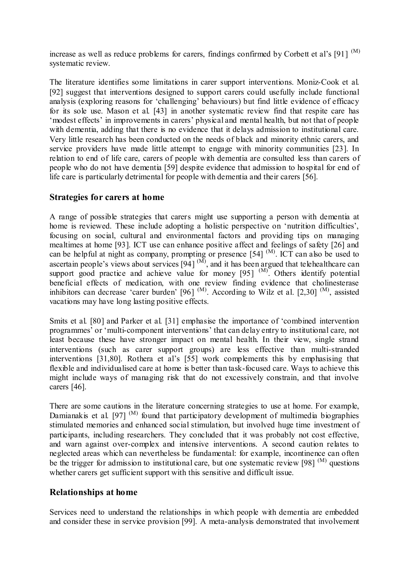increase as well as reduce problems for carers, findings confirmed by Corbett et al's [91]  $^{(M)}$ systematic review.

The literature identifies some limitations in carer support interventions. Moniz-Cook et al. [92] suggest that interventions designed to support carers could usefully include functional analysis (exploring reasons for 'challenging' behaviours) but find little evidence of efficacy for its sole use. Mason et al. [43] in another systematic review find that respite care has 'modest effects' in improvements in carers' physical and mental health, but not that of people with dementia, adding that there is no evidence that it delays admission to institutional care. Very little research has been conducted on the needs of black and minority ethnic carers, and service providers have made little attempt to engage with minority communities [23]. In relation to end of life care, carers of people with dementia are consulted less than carers of people who do not have dementia [59] despite evidence that admission to hospital for end of life care is particularly detrimental for people with dementia and their carers [56].

#### **Strategies for carers at home**

A range of possible strategies that carers might use supporting a person with dementia at home is reviewed. These include adopting a holistic perspective on 'nutrition difficulties', focusing on social, cultural and environmental factors and providing tips on managing mealtimes at home [93]. ICT use can enhance positive affect and feelings of safety [26] and can be helpful at night as company, prompting or presence  $[54]^{(M)}$ . ICT can also be used to ascertain people's views about services  $[94]^{(M)}$ , and it has been argued that telehealthcare can support good practice and achieve value for money  $[95]^{(M)}$ . Others identify potential beneficial effects of medication, with one review finding evidence that cholinesterase inhibitors can decrease 'carer burden' [96]  $^{(M)}$ . According to Wilz et al. [2,30]  $^{(M)}$ , assisted vacations may have long lasting positive effects.

Smits et al. [80] and Parker et al. [31] emphasise the importance of 'combined intervention programmes' or 'multi-component interventions' that can delay entry to institutional care, not least because these have stronger impact on mental health. In their view, single strand interventions (such as carer support groups) are less effective than multi-stranded interventions [31,80]. Rothera et al's [55] work complements this by emphasising that flexible and individualised care at home is better than task-focused care. Ways to achieve this might include ways of managing risk that do not excessively constrain, and that involve carers [46].

There are some cautions in the literature concerning strategies to use at home. For example, Damianakis et al.  $[97]$ <sup>(M)</sup> found that participatory development of multimedia biographies stimulated memories and enhanced social stimulation, but involved huge time investment of participants, including researchers. They concluded that it was probably not cost effective, and warn against over-complex and intensive interventions. A second caution relates to neglected areas which can nevertheless be fundamental: for example, incontinence can often be the trigger for admission to institutional care, but one systematic review  $[98]^{(M)}$  questions whether carers get sufficient support with this sensitive and difficult issue.

#### **Relationships at home**

Services need to understand the relationships in which people with dementia are embedded and consider these in service provision [99]. A meta-analysis demonstrated that involvement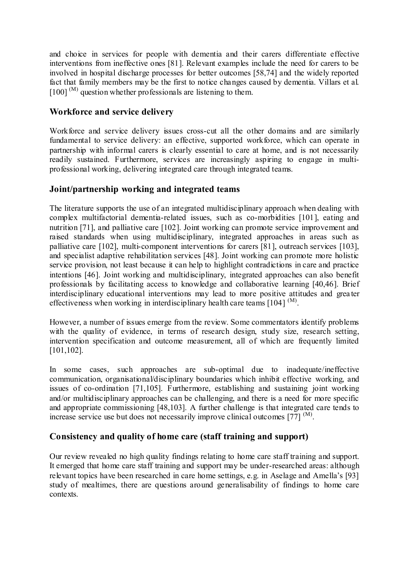and choice in services for people with dementia and their carers differentiate effective interventions from ineffective ones [81]. Relevant examples include the need for carers to be involved in hospital discharge processes for better outcomes [58,74] and the widely reported fact that family members may be the first to notice changes caused by dementia. Villars et al.  $[100]^{(M)}$  question whether professionals are listening to them.

## **Workforce and service delivery**

Workforce and service delivery issues cross-cut all the other domains and are similarly fundamental to service delivery: an effective, supported workforce, which can operate in partnership with informal carers is clearly essential to care at home, and is not necessarily readily sustained. Furthermore, services are increasingly aspiring to engage in multiprofessional working, delivering integrated care through integrated teams.

## **Joint/partnership working and integrated teams**

The literature supports the use of an integrated multidisciplinary approach when dealing with complex multifactorial dementia-related issues, such as co-morbidities [101], eating and nutrition [71], and palliative care [102]. Joint working can promote service improvement and raised standards when using multidisciplinary, integrated approaches in areas such as palliative care [102], multi-component interventions for carers [81], outreach services [103], and specialist adaptive rehabilitation services [48]. Joint working can promote more holistic service provision, not least because it can help to highlight contradictions in care and practice intentions [46]. Joint working and multidisciplinary, integrated approaches can also benefit professionals by facilitating access to knowledge and collaborative learning [40,46]. Brief interdisciplinary educational interventions may lead to more positive attitudes and grea ter effectiveness when working in interdisciplinary health care teams  $[104]^{(M)}$ .

However, a number of issues emerge from the review. Some commentators identify problems with the quality of evidence, in terms of research design, study size, research setting, intervention specification and outcome measurement, all of which are frequently limited [101,102].

In some cases, such approaches are sub-optimal due to inadequate/ineffective communication, organisational/disciplinary boundaries which inhibit effective working, and issues of co-ordination [71,105]. Furthermore, establishing and sustaining joint working and/or multidisciplinary approaches can be challenging, and there is a need for more specific and appropriate commissioning [48,103]. A further challenge is that integrated care tends to increase service use but does not necessarily improve clinical outcomes  $[77]^{(M)}$ .

## **Consistency and quality of home care (staff training and support)**

Our review revealed no high quality findings relating to home care staff training and support. It emerged that home care staff training and support may be under-researched areas: although relevant topics have been researched in care home settings, e.g. in Aselage and Amella's [93] study of mealtimes, there are questions around generalisability of findings to home care contexts.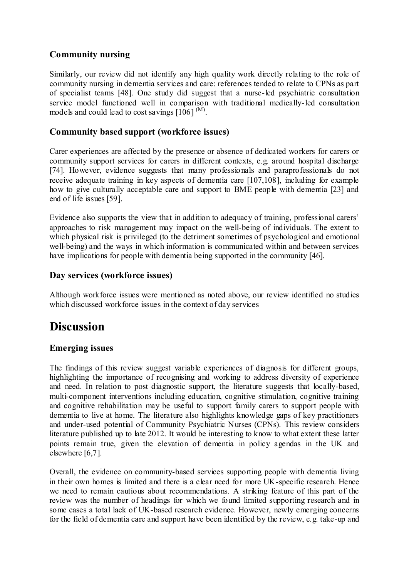## **Community nursing**

Similarly, our review did not identify any high quality work directly relating to the role of community nursing in dementia services and care: references tended to relate to CPNs as part of specialist teams [48]. One study did suggest that a nurse-led psychiatric consultation service model functioned well in comparison with traditional medically-led consultation models and could lead to cost savings  $[106]^{(M)}$ .

## **Community based support (workforce issues)**

Carer experiences are affected by the presence or absence of dedicated workers for carers or community support services for carers in different contexts, e.g. around hospital discharge [74]. However, evidence suggests that many professionals and paraprofessionals do not receive adequate training in key aspects of dementia care [107,108], including for example how to give culturally acceptable care and support to BME people with dementia [23] and end of life issues [59].

Evidence also supports the view that in addition to adequacy of training, professional carers' approaches to risk management may impact on the well-being of individuals. The extent to which physical risk is privileged (to the detriment sometimes of psychological and emotional well-being) and the ways in which information is communicated within and between services have implications for people with dementia being supported in the community [46].

## **Day services (workforce issues)**

Although workforce issues were mentioned as noted above, our review identified no studies which discussed workforce issues in the context of day services

## **Discussion**

## **Emerging issues**

The findings of this review suggest variable experiences of diagnosis for different groups, highlighting the importance of recognising and working to address diversity of experience and need. In relation to post diagnostic support, the literature suggests that locally-based, multi-component interventions including education, cognitive stimulation, cognitive training and cognitive rehabilitation may be useful to support family carers to support people with dementia to live at home. The literature also highlights knowledge gaps of key practitioners and under-used potential of Community Psychiatric Nurses (CPNs). This review considers literature published up to late 2012. It would be interesting to know to what extent these latter points remain true, given the elevation of dementia in policy agendas in the UK and elsewhere [6,7].

Overall, the evidence on community-based services supporting people with dementia living in their own homes is limited and there is a clear need for more UK-specific research. Hence we need to remain cautious about recommendations. A striking feature of this part of the review was the number of headings for which we found limited supporting research and in some cases a total lack of UK-based research evidence. However, newly emerging concerns for the field of dementia care and support have been identified by the review, e.g. take-up and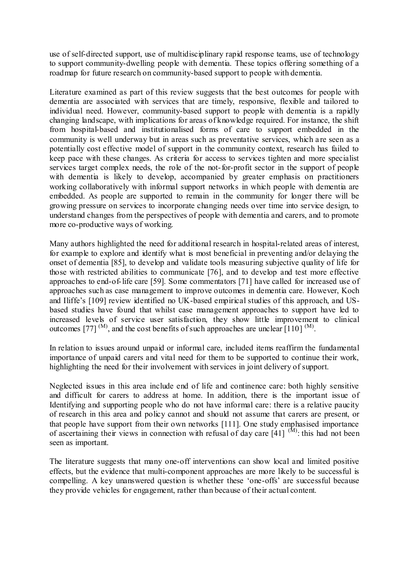use of self-directed support, use of multidisciplinary rapid response teams, use of technology to support community-dwelling people with dementia. These topics offering something of a roadmap for future research on community-based support to people with dementia.

Literature examined as part of this review suggests that the best outcomes for people with dementia are associated with services that are timely, responsive, flexible and tailored to individual need. However, community-based support to people with dementia is a rapidly changing landscape, with implications for areas of knowledge required. For instance, the shift from hospital-based and institutionalised forms of care to support embedded in the community is well underway but in areas such as preventative services, which a re seen as a potentially cost effective model of support in the community context, research has failed to keep pace with these changes. As criteria for access to services tighten and more specialist services target complex needs, the role of the not-for-profit sector in the support of people with dementia is likely to develop, accompanied by greater emphasis on practitioners working collaboratively with informal support networks in which people with dementia are embedded. As people are supported to remain in the community for longer there will be growing pressure on services to incorporate changing needs over time into service design, to understand changes from the perspectives of people with dementia and carers, and to promote more co-productive ways of working.

Many authors highlighted the need for additional research in hospital-related areas of interest, for example to explore and identify what is most beneficial in preventing and/or delaying the onset of dementia [85], to develop and validate tools measuring subjective quality of life for those with restricted abilities to communicate [76], and to develop and test more effective approaches to end-of-life care [59]. Some commentators [71] have called for increased use of approaches such as case management to improve outcomes in dementia care. However, Koch and Iliffe's [109] review identified no UK-based empirical studies of this approach, and USbased studies have found that whilst case management approaches to support have led to increased levels of service user satisfaction, they show little improvement to clinical outcomes  $[77]^{(M)}$ , and the cost benefits of such approaches are unclear  $[110]^{(M)}$ .

In relation to issues around unpaid or informal care, included items reaffirm the fundamental importance of unpaid carers and vital need for them to be supported to continue their work, highlighting the need for their involvement with services in joint delivery of support.

Neglected issues in this area include end of life and continence care: both highly sensitive and difficult for carers to address at home. In addition, there is the important issue of Identifying and supporting people who do not have informal care: there is a relative paucity of research in this area and policy cannot and should not assume that carers are present, or that people have support from their own networks [111]. One study emphasised importance of ascertaining their views in connection with refusal of day care  $[41]^{(M)}$ : this had not been seen as important.

The literature suggests that many one-off interventions can show local and limited positive effects, but the evidence that multi-component approaches are more likely to be successful is compelling. A key unanswered question is whether these 'one-offs' are successful because they provide vehicles for engagement, rather than because of their actual content.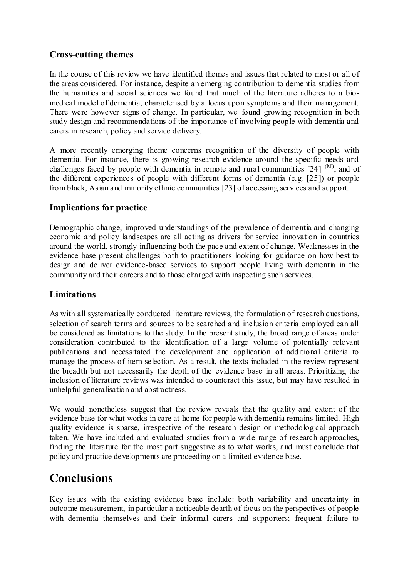## **Cross-cutting themes**

In the course of this review we have identified themes and issues that related to most or all of the areas considered. For instance, despite an emerging contribution to dementia studies from the humanities and social sciences we found that much of the literature adheres to a biomedical model of dementia, characterised by a focus upon symptoms and their management. There were however signs of change. In particular, we found growing recognition in both study design and recommendations of the importance of involving people with dementia and carers in research, policy and service delivery.

A more recently emerging theme concerns recognition of the diversity of people with dementia. For instance, there is growing research evidence around the specific needs and challenges faced by people with dementia in remote and rural communities  $[24]^{(M)}$ , and of the different experiences of people with different forms of dementia (e.g. [25]) or people from black, Asian and minority ethnic communities [23] of accessing services and support.

## **Implications for practice**

Demographic change, improved understandings of the prevalence of dementia and changing economic and policy landscapes are all acting as drivers for service innovation in countries around the world, strongly influencing both the pace and extent of change. Weaknesses in the evidence base present challenges both to practitioners looking for guidance on how best to design and deliver evidence-based services to support people living with dementia in the community and their careers and to those charged with inspecting such services.

## **Limitations**

As with all systematically conducted literature reviews, the formulation of research questions, selection of search terms and sources to be searched and inclusion criteria employed can all be considered as limitations to the study. In the present study, the broad range of areas under consideration contributed to the identification of a large volume of potentially relevant publications and necessitated the development and application of additional criteria to manage the process of item selection. As a result, the texts included in the review represent the breadth but not necessarily the depth of the evidence base in all areas. Prioritizing the inclusion of literature reviews was intended to counteract this issue, but may have resulted in unhelpful generalisation and abstractness.

We would nonetheless suggest that the review reveals that the quality and extent of the evidence base for what works in care at home for people with dementia remains limited. High quality evidence is sparse, irrespective of the research design or methodological approach taken. We have included and evaluated studies from a wide range of research approaches, finding the literature for the most part suggestive as to what works, and must conclude that policy and practice developments are proceeding on a limited evidence base.

## **Conclusions**

Key issues with the existing evidence base include: both variability and uncertainty in outcome measurement, in particular a noticeable dearth of focus on the perspectives of people with dementia themselves and their informal carers and supporters; frequent failure to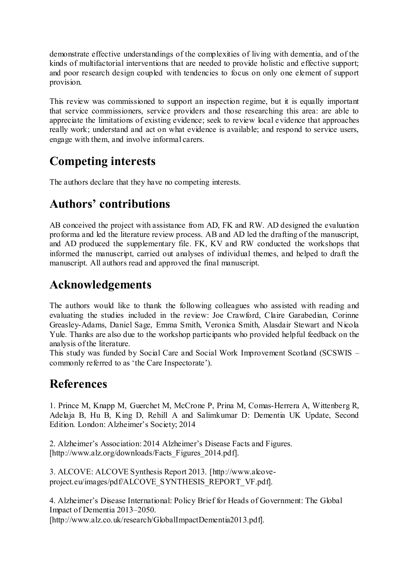demonstrate effective understandings of the complexities of living with dementia, and of the kinds of multifactorial interventions that are needed to provide holistic and effective support; and poor research design coupled with tendencies to focus on only one element of support provision.

This review was commissioned to support an inspection regime, but it is equally important that service commissioners, service providers and those researching this area: are able to appreciate the limitations of existing evidence; seek to review local evidence that approaches really work; understand and act on what evidence is available; and respond to service users, engage with them, and involve informal carers.

## **Competing interests**

The authors declare that they have no competing interests.

## **Authors' contributions**

AB conceived the project with assistance from AD, FK and RW. AD designed the evaluation proforma and led the literature review process. AB and AD led the drafting of the manuscript, and AD produced the supplementary file. FK, KV and RW conducted the workshops that informed the manuscript, carried out analyses of individual themes, and helped to draft the manuscript. All authors read and approved the final manuscript.

# **Acknowledgements**

The authors would like to thank the following colleagues who assisted with reading and evaluating the studies included in the review: Joe Crawford, Claire Garabedian, Corinne Greasley-Adams, Daniel Sage, Emma Smith, Veronica Smith, Alasdair Stewart and Nicola Yule. Thanks are also due to the workshop participants who provided helpful feedback on the analysis of the literature.

This study was funded by Social Care and Social Work Improvement Scotland (SCSWIS – commonly referred to as 'the Care Inspectorate').

## **References**

1. Prince M, Knapp M, Guerchet M, McCrone P, Prina M, Comas-Herrera A, Wittenberg R, Adelaja B, Hu B, King D, Rehill A and Salimkumar D: Dementia UK Update, Second Edition. London: Alzheimer's Society; 2014

2. Alzheimer's Association: 2014 Alzheimer's Disease Facts and Figures. [http://www.alz.org/downloads/Facts\_Figures\_2014.pdf].

3. ALCOVE: ALCOVE Synthesis Report 2013. [http://www.alcoveproject.eu/images/pdf/ALCOVE\_SYNTHESIS\_REPORT\_VF.pdf].

4. Alzheimer's Disease International: Policy Brief for Heads of Government: The Global Impact of Dementia 2013–2050.

[http://www.alz.co.uk/research/GlobalImpactDementia2013.pdf].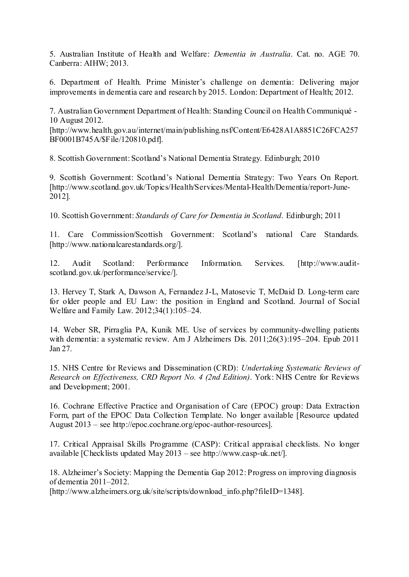5. Australian Institute of Health and Welfare: *Dementia in Australia*. Cat. no. AGE 70. Canberra: AIHW; 2013.

6. Department of Health. Prime Minister's challenge on dementia: Delivering major improvements in dementia care and research by 2015. London: Department of Health; 2012.

7. Australian Government Department of Health: Standing Council on Health Communiqué - 10 August 2012.

[http://www.health.gov.au/internet/main/publishing.nsf/Content/E6428A1A8851C26FCA257 BF0001B745A/\$File/120810.pdf].

8. Scottish Government: Scotland's National Dementia Strategy. Edinburgh; 2010

9. Scottish Government: Scotland's National Dementia Strategy: Two Years On Report. [http://www.scotland.gov.uk/Topics/Health/Services/Mental-Health/Dementia/report-June-2012].

10. Scottish Government: *Standards of Care for Dementia in Scotland*. Edinburgh; 2011

11. Care Commission/Scottish Government: Scotland's national Care Standards. [http://www.nationalcarestandards.org/].

12. Audit Scotland: Performance Information. Services. [http://www.auditscotland.gov.uk/performance/service/].

13. Ηervey T, Stark A, Dawson A, Fernandez J-L, Μatosevic T, ΜcDaid D. Long-term care for older people and ΕU Law: the position in Εngland and Scotland. Journal of Social Welfare and Family Law. 2012;34(1):105–24.

14. Weber SR, Pirraglia PA, Kunik ME. Use of services by community-dwelling patients with dementia: a systematic review. Am J Alzheimers Dis. 2011;26(3):195–204. Epub 2011 Jan 27.

15. NHS Centre for Reviews and Dissemination (CRD): *Undertaking Systematic Reviews of Research on Effectiveness, CRD Report No. 4 (2nd Edition)*. York: NHS Centre for Reviews and Development; 2001.

16. Cochrane Effective Practice and Organisation of Care (EPOC) group: Data Extraction Form, part of the EPOC Data Collection Template. No longer available [Resource updated August 2013 – see http://epoc.cochrane.org/epoc-author-resources].

17. Critical Appraisal Skills Programme (CASP): Critical appraisal checklists. No longer available [Checklists updated May 2013 – see http://www.casp-uk.net/].

18. Alzheimer's Society: Mapping the Dementia Gap 2012: Progress on improving diagnosis of dementia 2011–2012.

[http://www.alzheimers.org.uk/site/scripts/download\_info.php?fileID=1348].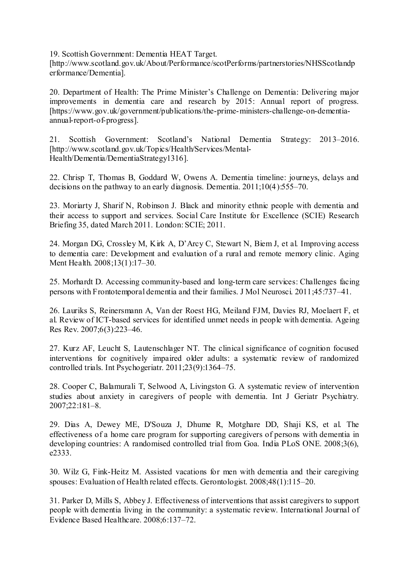19. Scottish Government: Dementia HEAT Target.

[http://www.scotland.gov.uk/About/Performance/scotPerforms/partnerstories/NHSScotlandp erformance/Dementia].

20. Department of Health: The Prime Minister's Challenge on Dementia: Delivering major improvements in dementia care and research by 2015: Annual report of progress. [https://www.gov.uk/government/publications/the-prime-ministers-challenge-on-dementiaannual-report-of-progress].

21. Scottish Government: Scotland's National Dementia Strategy: 2013–2016. [http://www.scotland.gov.uk/Topics/Health/Services/Mental-Health/Dementia/DementiaStrategy1316].

22. Chrisp T, Thomas B, Goddard W, Owens A. Dementia timeline: journeys, delays and decisions on the pathway to an early diagnosis. Dementia. 2011;10(4):555–70.

23. Moriarty J, Sharif N, Robinson J. Black and minority ethnic people with dementia and their access to support and services. Social Care Institute for Excellence (SCIE) Research Briefing 35, dated March 2011. London: SCIE; 2011.

24. Morgan DG, Crossley M, Kirk A, D'Arcy C, Stewart N, Biem J, et al. Improving access to dementia care: Development and evaluation of a rural and remote memory clinic. Aging Ment Health. 2008;13(1):17–30.

25. Morhardt D. Accessing community-based and long-term care services: Challenges facing persons with Frontotemporal dementia and their families. J Mol Neurosci. 2011;45:737–41.

26. Lauriks S, Reinersmann A, Van der Roest HG, Meiland FJM, Davies RJ, Moelaert F, et al. Review of ICT-based services for identified unmet needs in people with dementia. Ageing Res Rev. 2007;6(3):223–46.

27. Kurz AF, Leucht S, Lautenschlager NT. The clinical significance of cognition focused interventions for cognitively impaired older adults: a systematic review of randomized controlled trials. Int Psychogeriatr. 2011;23(9):1364–75.

28. Cooper C, Balamurali T, Selwood A, Livingston G. A systematic review of intervention studies about anxiety in caregivers of people with dementia. Int J Geriatr Psychiatry. 2007;22:181–8.

29. Dias A, Dewey ME, D'Souza J, Dhume R, Motghare DD, Shaji KS, et al. The effectiveness of a home care program for supporting caregivers of persons with dementia in developing countries: A randomised controlled trial from Goa. India PLoS ONE. 2008;3(6), e2333.

30. Wilz G, Fink-Heitz M. Assisted vacations for men with dementia and their caregiving spouses: Evaluation of Health related effects. Gerontologist. 2008;48(1):115–20.

31. Parker D, Mills S, Abbey J. Effectiveness of interventions that assist caregivers to support people with dementia living in the community: a systematic review. International Journal of Evidence Based Healthcare. 2008;6:137–72.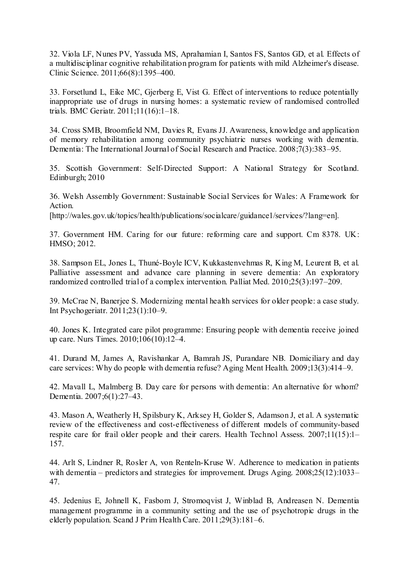32. Viola LF, Nunes PV, Yassuda MS, Aprahamian I, Santos FS, Santos GD, et al. Effects of a multidisciplinar cognitive rehabilitation program for patients with mild Alzheimer's disease. Clinic Science. 2011;66(8):1395–400.

33. Forsetlund L, Eike MC, Gjerberg E, Vist G. Effect of interventions to reduce potentially inappropriate use of drugs in nursing homes: a systematic review of randomised controlled trials. BMC Geriatr. 2011;11(16):1–18.

34. Cross SMB, Broomfield NM, Davies R, Evans JJ. Awareness, knowledge and application of memory rehabilitation among community psychiatric nurses working with dementia. Dementia: The International Journal of Social Research and Practice. 2008;7(3):383–95.

35. Scottish Government: Self-Directed Support: A National Strategy for Scotland. Edinburgh; 2010

36. Welsh Assembly Government: Sustainable Social Services for Wales: A Framework for Action.

[http://wales.gov.uk/topics/health/publications/socialcare/guidance1/services/?lang=en].

37. Government HM. Caring for our future: reforming care and support. Cm 8378. UK: HMSO; 2012.

38. Sampson EL, Jones L, Thuné-Boyle ICV, Kukkastenvehmas R, King M, Leurent B, et al. Palliative assessment and advance care planning in severe dementia: An exploratory randomized controlled trial of a complex intervention. Palliat Med. 2010;25(3):197–209.

39. McCrae N, Banerjee S. Modernizing mental health services for older people: a case study. Int Psychogeriatr. 2011;23(1):10–9.

40. Jones K. Integrated care pilot programme: Ensuring people with dementia receive joined up care. Nurs Times. 2010;106(10):12–4.

41. Durand M, James A, Ravishankar A, Bamrah JS, Purandare NB. Domiciliary and day care services: Why do people with dementia refuse? Aging Ment Health. 2009;13(3):414–9.

42. Mavall L, Malmberg B. Day care for persons with dementia: An alternative for whom? Dementia. 2007;6(1):27–43.

43. Mason A, Weatherly H, Spilsbury K, Arksey H, Golder S, Adamson J, et al. A systematic review of the effectiveness and cost-effectiveness of different models of community-based respite care for frail older people and their carers. Health Technol Assess. 2007;11(15):1– 157.

44. Arlt S, Lindner R, Rosler A, von Renteln-Kruse W. Adherence to medication in patients with dementia – predictors and strategies for improvement. Drugs Aging. 2008;25(12):1033– 47.

45. Jedenius E, Johnell K, Fasbom J, Stromoqvist J, Winblad B, Andreasen N. Dementia management programme in a community setting and the use of psychotropic drugs in the elderly population. Scand J Prim Health Care. 2011;29(3):181–6.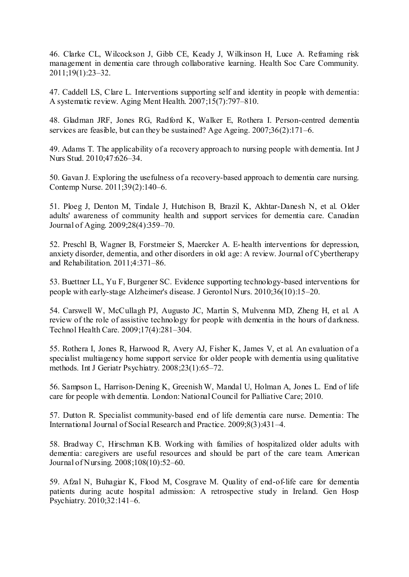46. Clarke CL, Wilcockson J, Gibb CE, Keady J, Wilkinson H, Luce A. Reframing risk management in dementia care through collaborative learning. Health Soc Care Community. 2011;19(1):23–32.

47. Caddell LS, Clare L. Interventions supporting self and identity in people with dementia: A systematic review. Aging Ment Health. 2007;15(7):797–810.

48. Gladman JRF, Jones RG, Radford K, Walker E, Rothera I. Person-centred dementia services are feasible, but can they be sustained? Age Ageing. 2007;36(2):171–6.

49. Adams T. The applicability of a recovery approach to nursing people with dementia. Int J Nurs Stud. 2010;47:626–34.

50. Gavan J. Exploring the usefulness of a recovery-based approach to dementia care nursing. Contemp Nurse. 2011;39(2):140–6.

51. Ploeg J, Denton M, Tindale J, Hutchison B, Brazil K, Akhtar-Danesh N, et al. Older adults' awareness of community health and support services for dementia care. Canadian Journal of Aging. 2009;28(4):359–70.

52. Preschl B, Wagner B, Forstmeier S, Maercker A. E-health interventions for depression, anxiety disorder, dementia, and other disorders in old age: A review. Journal of Cybertherapy and Rehabilitation. 2011;4:371–86.

53. Buettner LL, Yu F, Burgener SC. Evidence supporting technology-based interventions for people with early-stage Alzheimer's disease. J Gerontol Nurs. 2010;36(10):15–20.

54. Carswell W, McCullagh PJ, Augusto JC, Martin S, Mulvenna MD, Zheng H, et al. A review of the role of assistive technology for people with dementia in the hours of darkness. Technol Health Care. 2009;17(4):281–304.

55. Rothera I, Jones R, Harwood R, Avery AJ, Fisher K, James V, et al. An evaluation of a specialist multiagency home support service for older people with dementia using qualitative methods. Int J Geriatr Psychiatry. 2008;23(1):65–72.

56. Sampson L, Harrison-Dening K, Greenish W, Mandal U, Holman A, Jones L. End of life care for people with dementia. London: National Council for Palliative Care; 2010.

57. Dutton R. Specialist community-based end of life dementia care nurse. Dementia: The International Journal of Social Research and Practice. 2009;8(3):431–4.

58. Bradway C, Hirschman KB. Working with families of hospitalized older adults with dementia: caregivers are useful resources and should be part of the care team. American Journal of Nursing. 2008;108(10):52–60.

59. Afzal N, Buhagiar K, Flood M, Cosgrave M. Quality of end-of-life care for dementia patients during acute hospital admission: A retrospective study in Ireland. Gen Hosp Psychiatry. 2010;32:141–6.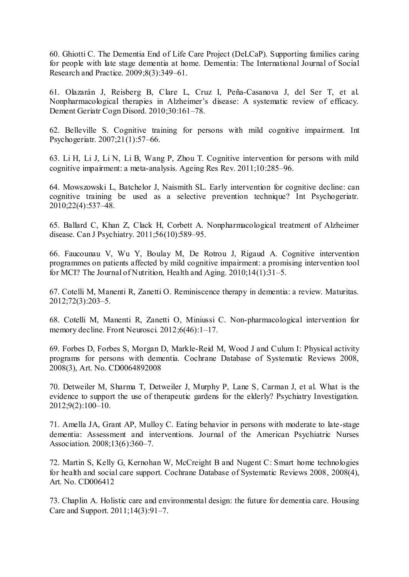60. Ghiotti C. The Dementia End of Life Care Project (DeLCaP). Supporting families caring for people with late stage dementia at home. Dementia: The International Journal of Social Research and Practice. 2009;8(3):349–61.

61. Olazarán J, Reisberg B, Clare L, Cruz I, Peña-Casanova J, del Ser T, et al. Nonpharmacological therapies in Alzheimer's disease: A systematic review of efficacy. Dement Geriatr Cogn Disord. 2010;30:161–78.

62. Belleville S. Cognitive training for persons with mild cognitive impairment. Int Psychogeriatr. 2007;21(1):57–66.

63. Li H, Li J, Li N, Li B, Wang P, Zhou T. Cognitive intervention for persons with mild cognitive impairment: a meta-analysis. Ageing Res Rev. 2011;10:285–96.

64. Mowszowski L, Batchelor J, Naismith SL. Early intervention for cognitive decline: can cognitive training be used as a selective prevention technique? Int Psychogeriatr. 2010;22(4):537–48.

65. Ballard C, Khan Z, Clack H, Corbett A. Nonpharmacological treatment of Alzheimer disease. Can J Psychiatry. 2011;56(10):589–95.

66. Faucounau V, Wu Y, Boulay M, De Rotrou J, Rigaud A. Cognitive intervention programmes on patients affected by mild cognitive impairment: a promising intervention tool for MCI? The Journal of Nutrition, Health and Aging. 2010;14(1):31–5.

67. Cotelli M, Manenti R, Zanetti O. Reminiscence therapy in dementia: a review. Maturitas. 2012;72(3):203–5.

68. Cotelli M, Manenti R, Zanetti O, Miniussi C. Non-pharmacological intervention for memory decline. Front Neurosci. 2012;6(46):1–17.

69. Forbes D, Forbes S, Morgan D, Markle-Reid M, Wood J and Culum I: Physical activity programs for persons with dementia. Cochrane Database of Systematic Reviews 2008, 2008(3), Art. No. CD0064892008

70. Detweiler M, Sharma T, Detweiler J, Murphy P, Lane S, Carman J, et al. What is the evidence to support the use of therapeutic gardens for the elderly? Psychiatry Investigation. 2012;9(2):100–10.

71. Amella JA, Grant AP, Mulloy C. Eating behavior in persons with moderate to late-stage dementia: Assessment and interventions. Journal of the American Psychiatric Nurses Association. 2008;13(6):360–7.

72. Martin S, Kelly G, Kernohan W, McCreight B and Nugent C: Smart home technologies for health and social care support. Cochrane Database of Systematic Reviews 2008, 2008(4), Art. No. CD006412

73. Chaplin A. Holistic care and environmental design: the future for dementia care. Housing Care and Support. 2011;14(3):91–7.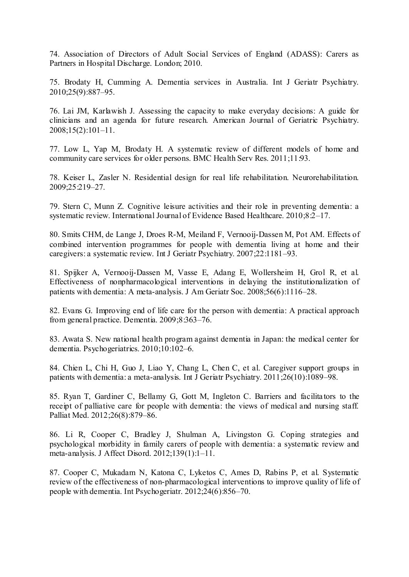74. Association of Directors of Adult Social Services of England (ADASS): Carers as Partners in Hospital Discharge. London; 2010.

75. Brodaty H, Cumming A. Dementia services in Australia. Int J Geriatr Psychiatry. 2010;25(9):887–95.

76. Lai JM, Karlawish J. Assessing the capacity to make everyday decisions: A guide for clinicians and an agenda for future research. American Journal of Geriatric Psychiatry. 2008;15(2):101–11.

77. Low L, Yap M, Brodaty H. A systematic review of different models of home and community care services for older persons. BMC Health Serv Res. 2011;11:93.

78. Keiser L, Zasler N. Residential design for real life rehabilitation. Neurorehabilitation. 2009;25:219–27.

79. Stern C, Munn Z. Cognitive leisure activities and their role in preventing dementia: a systematic review. International Journal of Evidence Based Healthcare. 2010;8:2–17.

80. Smits CHM, de Lange J, Droes R-M, Meiland F, Vernooij-Dassen M, Pot AM. Effects of combined intervention programmes for people with dementia living at home and their caregivers: a systematic review. Int J Geriatr Psychiatry. 2007;22:1181–93.

81. Spijker A, Vernooij-Dassen M, Vasse E, Adang E, Wollersheim H, Grol R, et al. Effectiveness of nonpharmacological interventions in delaying the institutionalization of patients with dementia: A meta-analysis. J Am Geriatr Soc. 2008;56(6):1116–28.

82. Evans G. Improving end of life care for the person with dementia: A practical approach from general practice. Dementia. 2009;8:363–76.

83. Awata S. New national health program against dementia in Japan: the medical center for dementia. Psychogeriatrics. 2010;10:102–6.

84. Chien L, Chi H, Guo J, Liao Y, Chang L, Chen C, et al. Caregiver support groups in patients with dementia: a meta-analysis. Int J Geriatr Psychiatry. 2011;26(10):1089–98.

85. Ryan T, Gardiner C, Bellamy G, Gott M, Ingleton C. Barriers and facilita tors to the receipt of palliative care for people with dementia: the views of medical and nursing staff. Palliat Med. 2012;26(8):879–86.

86. Li R, Cooper C, Bradley J, Shulman A, Livingston G. Coping strategies and psychological morbidity in family carers of people with dementia: a systematic review and meta-analysis. J Affect Disord. 2012;139(1):1–11.

87. Cooper C, Mukadam N, Katona C, Lyketos C, Ames D, Rabins P, et al. Systematic review of the effectiveness of non-pharmacological interventions to improve quality of life of people with dementia. Int Psychogeriatr. 2012;24(6):856–70.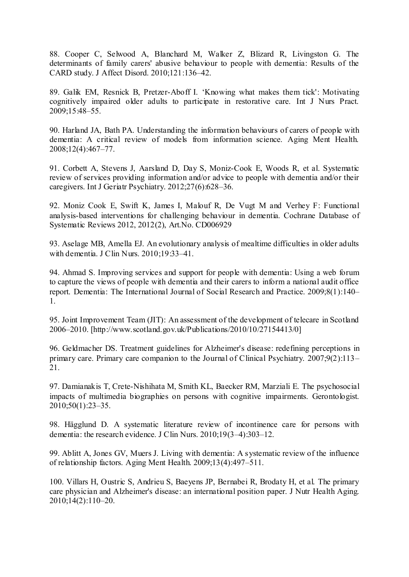88. Cooper C, Selwood A, Blanchard M, Walker Z, Blizard R, Livingston G. The determinants of family carers' abusive behaviour to people with dementia: Results of the CARD study. J Affect Disord. 2010;121:136–42.

89. Galik EM, Resnick B, Pretzer-Aboff I. 'Knowing what makes them tick': Motivating cognitively impaired older adults to participate in restorative care. Int J Nurs Pract. 2009;15:48–55.

90. Harland JA, Bath PA. Understanding the information behaviours of carers of people with dementia: A critical review of models from information science. Aging Ment Health. 2008;12(4):467–77.

91. Corbett A, Stevens J, Aarsland D, Day S, Moniz-Cook E, Woods R, et al. Systematic review of services providing information and/or advice to people with dementia and/or their caregivers. Int J Geriatr Psychiatry. 2012;27(6):628–36.

92. Moniz Cook E, Swift K, James I, Malouf R, De Vugt M and Verhey F: Functional analysis-based interventions for challenging behaviour in dementia. Cochrane Database of Systematic Reviews 2012, 2012(2), Art.No. CD006929

93. Aselage MB, Amella EJ. An evolutionary analysis of mealtime difficulties in older adults with dementia. J Clin Nurs. 2010;19:33–41.

94. Ahmad S. Improving services and support for people with dementia: Using a web forum to capture the views of people with dementia and their carers to inform a national audit office report. Dementia: The International Journal of Social Research and Practice. 2009;8(1):140– 1.

95. Joint Improvement Team (JIT): An assessment of the development of telecare in Scotland 2006–2010. [http://www.scotland.gov.uk/Publications/2010/10/27154413/0]

96. Geldmacher DS. Treatment guidelines for Alzheimer's disease: redefining perceptions in primary care. Primary care companion to the Journal of Clinical Psychiatry. 2007;9(2):113– 21.

97. Damianakis T, Crete-Nishihata M, Smith KL, Baecker RM, Marziali E. The psychosocial impacts of multimedia biographies on persons with cognitive impairments. Gerontologist. 2010;50(1):23–35.

98. Hägglund D. A systematic literature review of incontinence care for persons with dementia: the research evidence. J Clin Nurs. 2010;19(3–4):303–12.

99. Ablitt A, Jones GV, Muers J. Living with dementia: A systematic review of the influence of relationship factors. Aging Ment Health. 2009;13(4):497–511.

100. Villars H, Oustric S, Andrieu S, Baeyens JP, Bernabei R, Brodaty H, et al. The primary care physician and Alzheimer's disease: an international position paper. J Nutr Health Aging. 2010;14(2):110–20.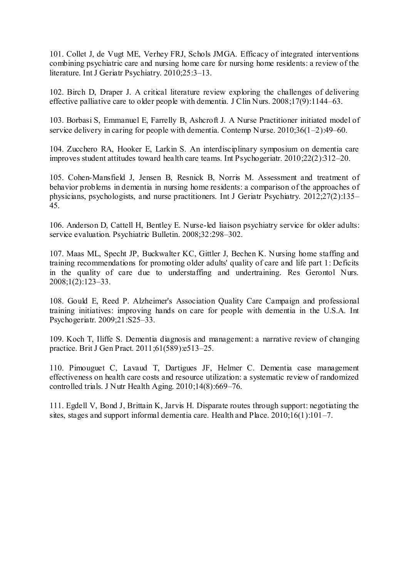101. Collet J, de Vugt ME, Verhey FRJ, Schols JMGA. Efficacy of integrated interventions combining psychiatric care and nursing home care for nursing home residents: a review of the literature. Int J Geriatr Psychiatry. 2010;25:3–13.

102. Birch D, Draper J. A critical literature review exploring the challenges of delivering effective palliative care to older people with dementia. J Clin Nurs. 2008;17(9):1144–63.

103. Borbasi S, Emmanuel E, Farrelly B, Ashcroft J. A Nurse Practitioner initiated model of service delivery in caring for people with dementia. Contemp Nurse. 2010;36(1–2):49–60.

104. Zucchero RA, Hooker E, Larkin S. An interdisciplinary symposium on dementia care improves student attitudes toward health care teams. Int Psychogeriatr. 2010;22(2):312–20.

105. Cohen-Mansfield J, Jensen B, Resnick B, Norris M. Assessment and treatment of behavior problems in dementia in nursing home residents: a comparison of the approaches of physicians, psychologists, and nurse practitioners. Int J Geriatr Psychiatry. 2012;27(2):135– 45.

106. Anderson D, Cattell H, Bentley E. Nurse-led liaison psychiatry service for older adults: service evaluation. Psychiatric Bulletin. 2008;32:298–302.

107. Maas ML, Specht JP, Buckwalter KC, Gittler J, Bechen K. Nursing home staffing and training recommendations for promoting older adults' quality of care and life part 1: Deficits in the quality of care due to understaffing and undertraining. Res Gerontol Nurs. 2008;1(2):123–33.

108. Gould E, Reed P. Alzheimer's Association Quality Care Campaign and professional training initiatives: improving hands on care for people with dementia in the U.S.A. Int Psychogeriatr. 2009;21:S25–33.

109. Koch T, Iliffe S. Dementia diagnosis and management: a narrative review of changing practice. Brit J Gen Pract. 2011;61(589):e513–25.

110. Pimouguet C, Lavaud T, Dartigues JF, Helmer C. Dementia case management effectiveness on health care costs and resource utilization: a systematic review of randomized controlled trials. J Nutr Health Aging. 2010;14(8):669–76.

111. Egdell V, Bond J, Brittain K, Jarvis H. Disparate routes through support: negotiating the sites, stages and support informal dementia care. Health and Place. 2010;16(1):101–7.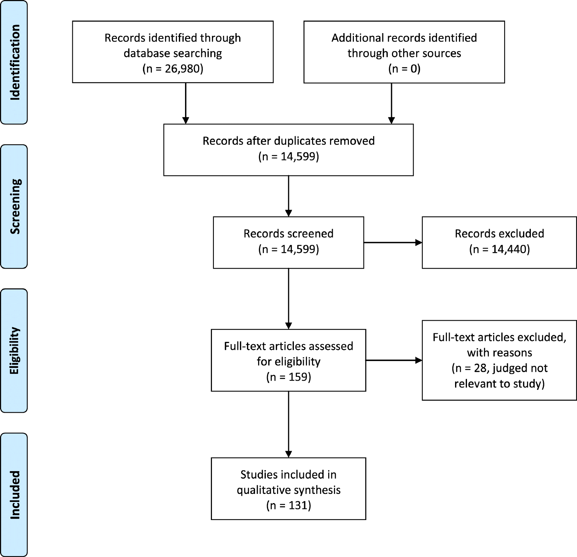